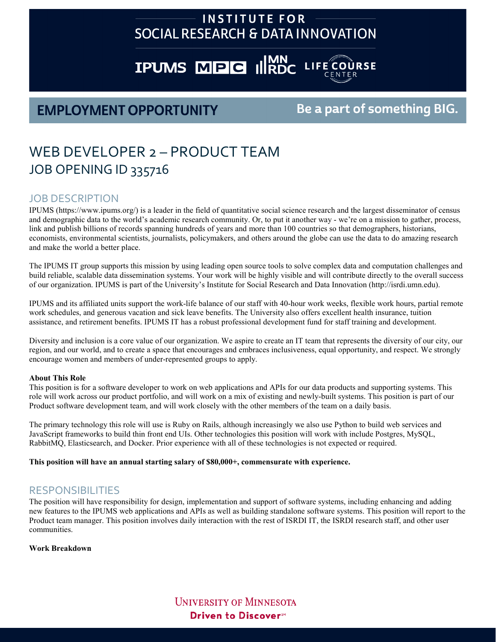# **INSTITUTE FOR** SOCIAL RESEARCH & DATA INNOVATION

# **IPUMS MPG INNO LIFE COURSE**

# **EMPLOYMENT OPPORTUNITY**

# Be a part of something BIG.

# WEB DEVELOPER 2 – PRODUCT TEAM JOB OPENING ID 335716

### JOB DESCRIPTION

IPUMS [\(https://www.ipums.org/\)](https://www.ipums.org/) is a leader in the field of quantitative social science research and the largest disseminator of census and demographic data to the world's academic research community. Or, to put it another way - we're on a mission to gather, process, link and publish billions of records spanning hundreds of years and more than 100 countries so that demographers, historians, economists, environmental scientists, journalists, policymakers, and others around the globe can use the data to do amazing research and make the world a better place.

The IPUMS IT group supports this mission by using leading open source tools to solve complex data and computation challenges and build reliable, scalable data dissemination systems. Your work will be highly visible and will contribute directly to the overall success of our organization. IPUMS is part of the University's Institute for Social Research and Data Innovation ([http://isrdi.umn.edu\).](http://isrdi.umn.edu)

IPUMS and its affiliated units support the work-life balance of our staff with 40-hour work weeks, flexible work hours, partial remote work schedules, and generous vacation and sick leave benefits. The University also offers excellent health insurance, tuition assistance, and retirement benefits. IPUMS IT has a robust professional development fund for staff training and development.

Diversity and inclusion is a core value of our organization. We aspire to create an IT team that represents the diversity of our city, our region, and our world, and to create a space that encourages and embraces inclusiveness, equal opportunity, and respect. We strongly encourage women and members of under-represented groups to apply.

#### **About This Role**

This position is for a software developer to work on web applications and APIs for our data products and supporting systems. This role will work across our product portfolio, and will work on a mix of existing and newly-built systems. This position is part of our Product software development team, and will work closely with the other members of the team on a daily basis.

The primary technology this role will use is Ruby on Rails, although increasingly we also use Python to build web services and JavaScript frameworks to build thin front end UIs. Other technologies this position will work with include Postgres, MySQL, RabbitMQ, Elasticsearch, and Docker. Prior experience with all of these technologies is not expected or required.

#### **This position will have an annual starting salary of \$80,000+, commensurate with experience.**

### RESPONSIBILITIES

The position will have responsibility for design, implementation and support of software systems, including enhancing and adding new features to the IPUMS web applications and APIs as well as building standalone software systems. This position will report to the Product team manager. This position involves daily interaction with the rest of ISRDI IT, the ISRDI research staff, and other user communities.

**Work Breakdown**

**UNIVERSITY OF MINNESOTA** Driven to Discover<sup>54</sup>